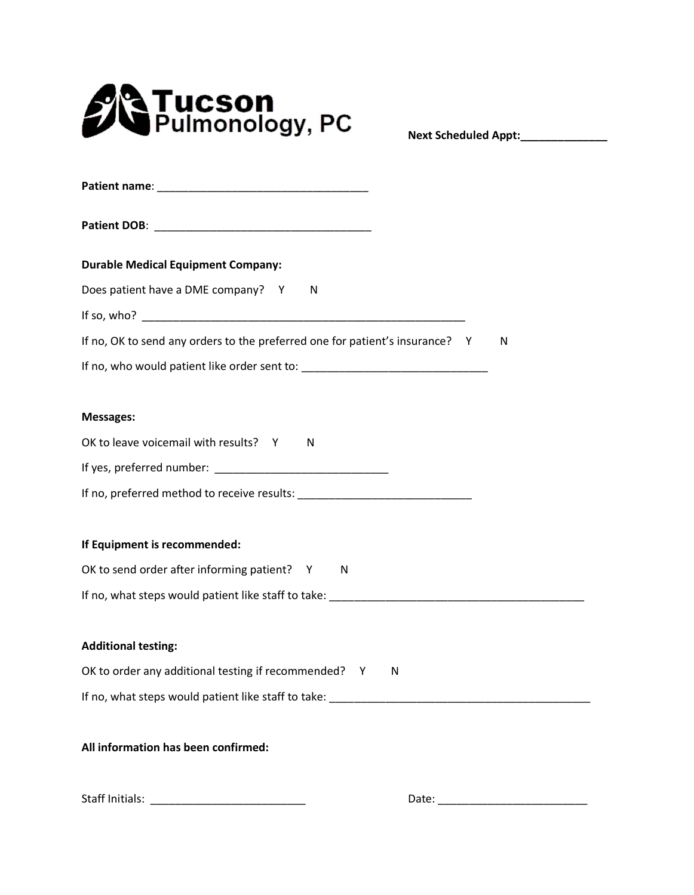

**Next Scheduled Appt:\_\_\_\_\_\_\_\_\_\_\_\_\_\_**

| <b>Durable Medical Equipment Company:</b>                                         |
|-----------------------------------------------------------------------------------|
| Does patient have a DME company? Y<br><sup>N</sup>                                |
|                                                                                   |
| If no, OK to send any orders to the preferred one for patient's insurance? Y<br>N |
|                                                                                   |
|                                                                                   |
| <b>Messages:</b>                                                                  |
| OK to leave voicemail with results? Y<br>N                                        |
|                                                                                   |
|                                                                                   |
|                                                                                   |
| If Equipment is recommended:                                                      |
| OK to send order after informing patient? Y<br>N                                  |
|                                                                                   |
|                                                                                   |
| <b>Additional testing:</b>                                                        |
| OK to order any additional testing if recommended? Y N                            |
|                                                                                   |
| All information has been confirmed:                                               |

Staff Initials: \_\_\_\_\_\_\_\_\_\_\_\_\_\_\_\_\_\_\_\_\_\_\_\_\_ Date: \_\_\_\_\_\_\_\_\_\_\_\_\_\_\_\_\_\_\_\_\_\_\_\_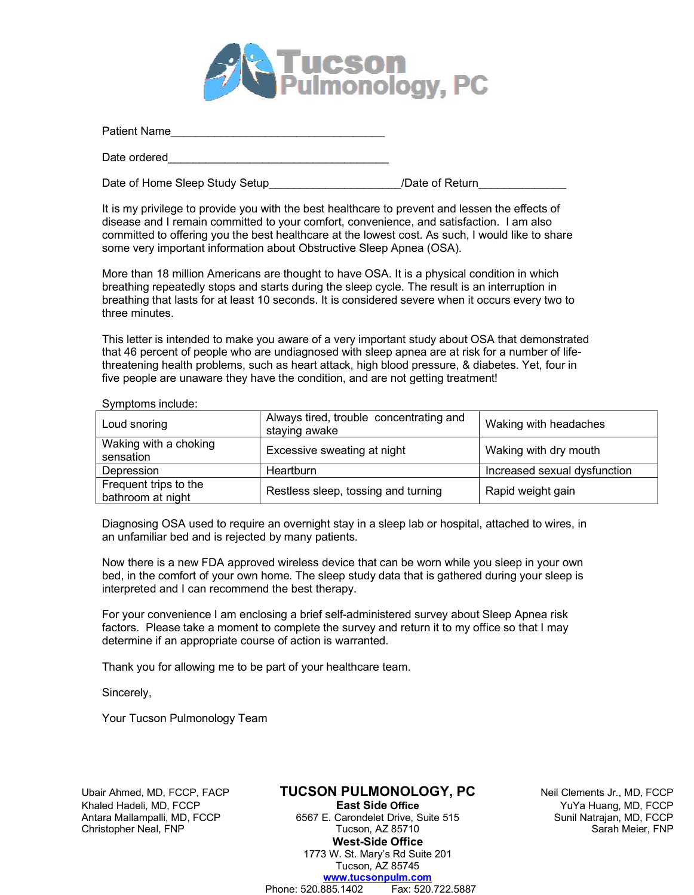

| Patient Name |  |  |  |
|--------------|--|--|--|
| Date ordered |  |  |  |

Date of Home Sleep Study Setup entitled and the study of Return

It is my privilege to provide you with the best healthcare to prevent and lessen the effects of disease and I remain committed to your comfort, convenience, and satisfaction. I am also committed to offering you the best healthcare at the lowest cost. As such, I would like to share some very important information about Obstructive Sleep Apnea (OSA).

More than 18 million Americans are thought to have OSA. It is a physical condition in which breathing repeatedly stops and starts during the sleep cycle. The result is an interruption in breathing that lasts for at least 10 seconds. It is considered severe when it occurs every two to three minutes.

This letter is intended to make you aware of a very important study about OSA that demonstrated that 46 percent of people who are undiagnosed with sleep apnea are at risk for a number of lifethreatening health problems, such as heart attack, high blood pressure, & diabetes. Yet, four in five people are unaware they have the condition, and are not getting treatment!

| Loud snoring                               | Always tired, trouble concentrating and<br>staying awake | Waking with headaches        |
|--------------------------------------------|----------------------------------------------------------|------------------------------|
| Waking with a choking<br>sensation         | Excessive sweating at night                              | Waking with dry mouth        |
| Depression                                 | Heartburn                                                | Increased sexual dysfunction |
| Frequent trips to the<br>bathroom at night | Restless sleep, tossing and turning                      | Rapid weight gain            |

Symptoms include:

Diagnosing OSA used to require an overnight stay in a sleep lab or hospital, attached to wires, in an unfamiliar bed and is rejected by many patients.

Now there is a new FDA approved wireless device that can be worn while you sleep in your own bed, in the comfort of your own home. The sleep study data that is gathered during your sleep is interpreted and I can recommend the best therapy.

For your convenience I am enclosing a brief self-administered survey about Sleep Apnea risk factors. Please take a moment to complete the survey and return it to my office so that I may determine if an appropriate course of action is warranted.

Thank you for allowing me to be part of your healthcare team.

Sincerely,

Your Tucson Pulmonology Team

Ubair Ahmed, MD, FCCP, FACP **TUCSON PULMONOLOGY, PC** Neil Clements Jr., MD, FCCP Antara Mallampalli, MD, FCCP

Khaled Hadeli, MD, FCCP **East Side Office** YuYa Huang, MD, FCCP Christopher Neal, FNP Tucson, AZ 85710 Sarah Meier, FNP Sarah Meier, FNP **West-Side Office** 1773 W. St. Mary's Rd Suite 201 Tucson, AZ 85745 **www.tucsonpulm.com** Phone: 520.885.1402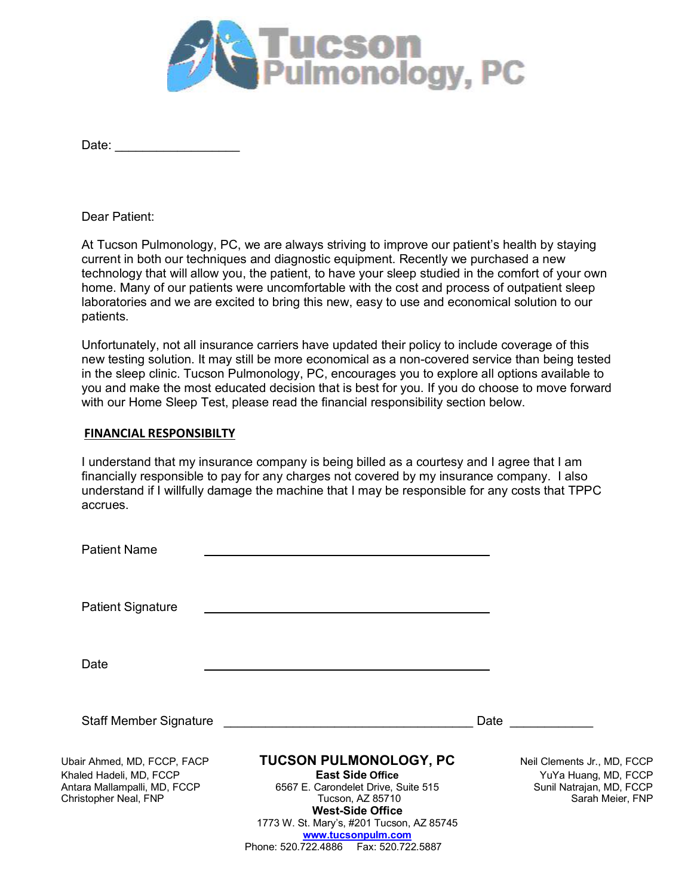

Dear Patient:

At Tucson Pulmonology, PC, we are always striving to improve our patient's health by staying current in both our techniques and diagnostic equipment. Recently we purchased a new technology that will allow you, the patient, to have your sleep studied in the comfort of your own home. Many of our patients were uncomfortable with the cost and process of outpatient sleep laboratories and we are excited to bring this new, easy to use and economical solution to our patients.

Unfortunately, not all insurance carriers have updated their policy to include coverage of this new testing solution. It may still be more economical as a non-covered service than being tested in the sleep clinic. Tucson Pulmonology, PC, encourages you to explore all options available to you and make the most educated decision that is best for you. If you do choose to move forward with our Home Sleep Test, please read the financial responsibility section below.

## **FINANCIAL RESPONSIBILTY**

I understand that my insurance company is being billed as a courtesy and I agree that I am financially responsible to pay for any charges not covered by my insurance company. I also understand if I willfully damage the machine that I may be responsible for any costs that TPPC accrues.

| <b>Patient Name</b>                                                                                             |                                                                                                                                                                                                                                                               |      |                                                                                                     |
|-----------------------------------------------------------------------------------------------------------------|---------------------------------------------------------------------------------------------------------------------------------------------------------------------------------------------------------------------------------------------------------------|------|-----------------------------------------------------------------------------------------------------|
| <b>Patient Signature</b>                                                                                        |                                                                                                                                                                                                                                                               |      |                                                                                                     |
| Date                                                                                                            |                                                                                                                                                                                                                                                               |      |                                                                                                     |
| <b>Staff Member Signature</b>                                                                                   |                                                                                                                                                                                                                                                               | Date |                                                                                                     |
| Ubair Ahmed, MD, FCCP, FACP<br>Khaled Hadeli, MD, FCCP<br>Antara Mallampalli, MD, FCCP<br>Christopher Neal, FNP | <b>TUCSON PULMONOLOGY, PC</b><br><b>East Side Office</b><br>6567 E. Carondelet Drive, Suite 515<br>Tucson, AZ 85710<br><b>West-Side Office</b><br>1773 W. St. Mary's, #201 Tucson, AZ 85745<br>www.tucsonpulm.com<br>Phone: 520.722.4886    Fax: 520.722.5887 |      | Neil Clements Jr., MD, FCCP<br>YuYa Huang, MD, FCCP<br>Sunil Natrajan, MD, FCCP<br>Sarah Meier, FNP |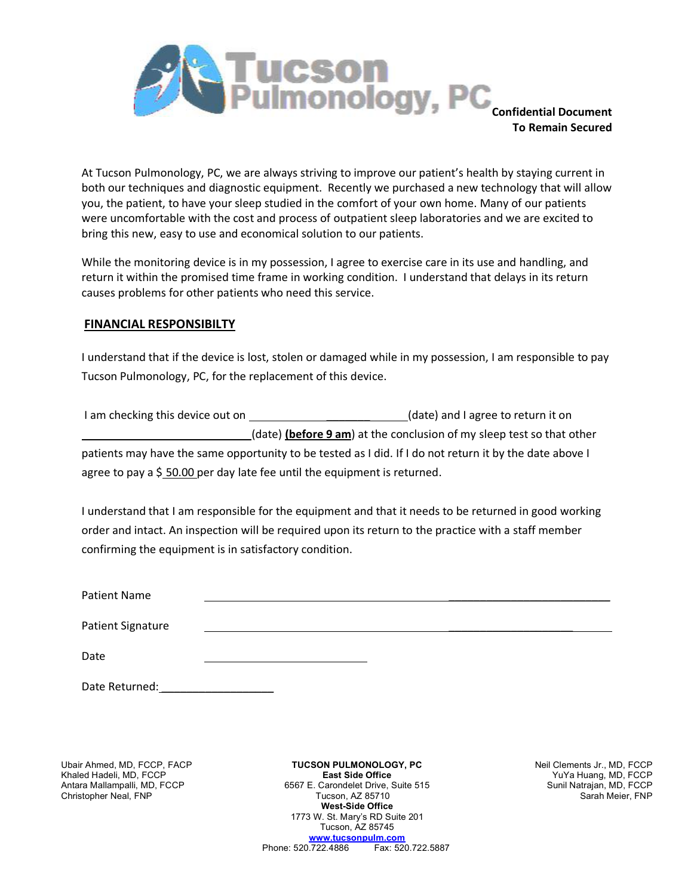

**Confidential Document To Remain Secured**

At Tucson Pulmonology, PC, we are always striving to improve our patient's health by staying current in both our techniques and diagnostic equipment. Recently we purchased a new technology that will allow you, the patient, to have your sleep studied in the comfort of your own home. Many of our patients were uncomfortable with the cost and process of outpatient sleep laboratories and we are excited to bring this new, easy to use and economical solution to our patients.

While the monitoring device is in my possession, I agree to exercise care in its use and handling, and return it within the promised time frame in working condition. I understand that delays in its return causes problems for other patients who need this service.

## **FINANCIAL RESPONSIBILTY**

I understand that if the device is lost, stolen or damaged while in my possession, I am responsible to pay Tucson Pulmonology, PC, for the replacement of this device.

| I am checking this device out on | (date) and I agree to return it on                                                                      |
|----------------------------------|---------------------------------------------------------------------------------------------------------|
|                                  | (date) (before 9 am) at the conclusion of my sleep test so that other                                   |
|                                  | patients may have the same opportunity to be tested as I did. If I do not return it by the date above I |
|                                  | agree to pay a \$50.00 per day late fee until the equipment is returned.                                |

I understand that I am responsible for the equipment and that it needs to be returned in good working order and intact. An inspection will be required upon its return to the practice with a staff member confirming the equipment is in satisfactory condition.

| <b>Patient Name</b>      |  |  |
|--------------------------|--|--|
| <b>Patient Signature</b> |  |  |
|                          |  |  |

Date <u>\_\_\_\_\_\_\_\_\_\_\_\_\_\_\_\_\_\_\_\_\_\_\_\_\_</u>

Date Returned:

Christopher Neal, FNP

Ubair Ahmed, MD, FCCP, FACP **TUCSON PULMONOLOGY, PC** Neil Clements Jr., MD, FCCP **Netwood CONEY (Netwood TUCSON PULMONOLOGY, PC** Neil Clements Jr., MD, FCCP **Netwood CONEY (Netwood Cone)** East Side Office **Netwood Coney St** Khaled Hadeli, MD, FCCP **East Side Office** YuYa Huang, MD, FCCP Antara Mallampalli, MD, FCCP 6567 E. Carondelet Drive, Suite 515 Sunil Natrajan, MD, FCCP **West-Side Office** 1773 W. St. Mary's RD Suite 201 Tucson, AZ 85745 **www.tucsonpulm.com**<br>0.722.4886 Fax: 520.722.5887 Phone: 520.722.4886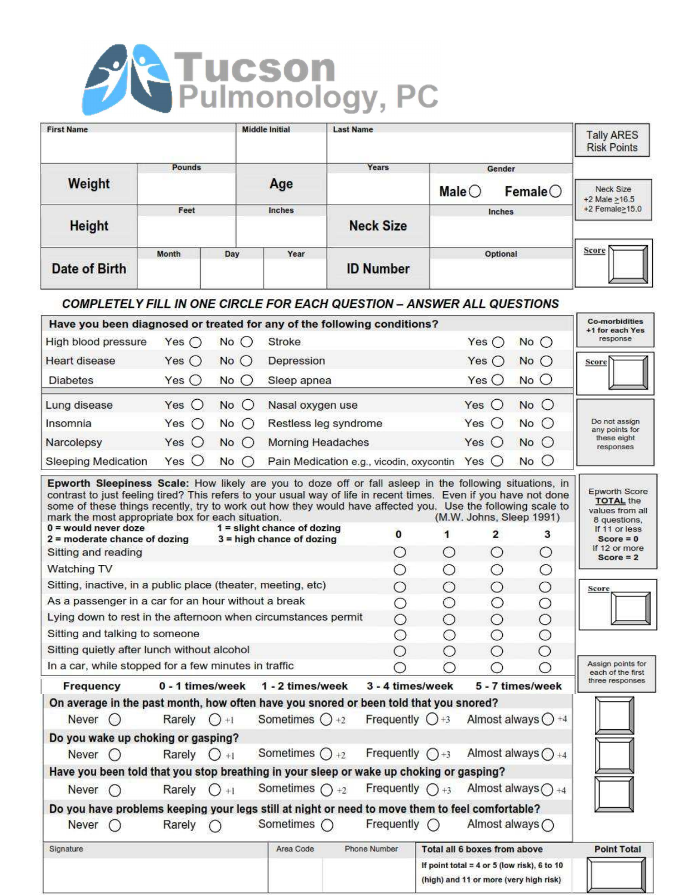

| <b>First Name</b>                                                                                                                     |                  |               | <b>Middle Initial</b>                                        | <b>Last Name</b>                                                                      |                            |                 |                                     |                                    | <b>Tally ARES</b><br><b>Risk Points</b>                                                         |
|---------------------------------------------------------------------------------------------------------------------------------------|------------------|---------------|--------------------------------------------------------------|---------------------------------------------------------------------------------------|----------------------------|-----------------|-------------------------------------|------------------------------------|-------------------------------------------------------------------------------------------------|
|                                                                                                                                       | Pounds           |               |                                                              |                                                                                       | Years                      |                 | Gender                              |                                    |                                                                                                 |
| Weight                                                                                                                                |                  |               | Age                                                          |                                                                                       |                            | Male $\bigcirc$ |                                     | $F$ emale $\bigcirc$               | Neck Size                                                                                       |
|                                                                                                                                       | Feet             |               | Inches                                                       |                                                                                       |                            |                 | Inches                              |                                    | $+2$ Male $>16.5$<br>+2 Female>15.0                                                             |
| <b>Height</b>                                                                                                                         |                  |               |                                                              |                                                                                       | <b>Neck Size</b>           |                 |                                     |                                    |                                                                                                 |
| <b>Date of Birth</b>                                                                                                                  | Month<br>Day     |               | Year                                                         |                                                                                       | <b>ID Number</b>           |                 | Optional                            |                                    | Score                                                                                           |
| <b>COMPLETELY FILL IN ONE CIRCLE FOR EACH QUESTION - ANSWER ALL QUESTIONS</b>                                                         |                  |               |                                                              |                                                                                       |                            |                 |                                     |                                    |                                                                                                 |
| Have you been diagnosed or treated for any of the following conditions?                                                               |                  |               |                                                              |                                                                                       |                            |                 |                                     |                                    | <b>Co-morbidities</b><br>+1 for each Yes                                                        |
| High blood pressure                                                                                                                   | Yes $\bigcirc$   | $No$ $O$      | <b>Stroke</b>                                                |                                                                                       |                            |                 | Yes $\bigcirc$                      | No                                 | response                                                                                        |
| <b>Heart disease</b>                                                                                                                  | Yes $\bigcirc$   | No            | Depression                                                   |                                                                                       |                            |                 | Yes $\bigcirc$                      | $No$ $O$                           | Score                                                                                           |
| <b>Diabetes</b>                                                                                                                       | Yes $\bigcirc$   | $No$ $O$      | Sleep apnea                                                  |                                                                                       |                            |                 | Yes $\bigcirc$                      | $No$ $O$                           |                                                                                                 |
| Lung disease                                                                                                                          | Yes $\bigcirc$   | $No$ $O$      | Nasal oxygen use                                             |                                                                                       |                            |                 | Yes $\bigcirc$                      | No                                 |                                                                                                 |
| Insomnia                                                                                                                              | Yes<br>$\circ$   | No<br>$\circ$ | Restless leg syndrome                                        |                                                                                       |                            |                 | Yes $\bigcirc$                      | $No$ $O$                           | Do not assign                                                                                   |
| Narcolepsy                                                                                                                            | Yes $\bigcirc$   | $No$ $O$      | <b>Morning Headaches</b>                                     |                                                                                       |                            |                 | Yes $O$                             | No                                 | any points for<br>these eight                                                                   |
| <b>Sleeping Medication</b>                                                                                                            | $\circ$<br>Yes   | $\circ$<br>No | Pain Medication e.g., vicodin, oxycontin                     |                                                                                       |                            |                 | Yes $\bigcirc$                      | $No$ $O$                           | responses                                                                                       |
| mark the most appropriate box for each situation.<br>$0 =$ would never doze<br>$2$ = moderate chance of dozing<br>Sitting and reading |                  |               | $1 =$ slight chance of dozing<br>$3$ = high chance of dozing |                                                                                       | $\bf{0}$<br>O              | 1<br>О          | $\overline{2}$<br>$\circ$           | (M.W. Johns, Sleep 1991)<br>3<br>О | values from all<br>8 questions,<br>If 11 or less<br>$Score = 0$<br>If 12 or more<br>$Score = 2$ |
| Watching TV                                                                                                                           |                  |               |                                                              |                                                                                       | О                          | О               | О                                   | О                                  |                                                                                                 |
| Sitting, inactive, in a public place (theater, meeting, etc)<br>As a passenger in a car for an hour without a break                   |                  |               |                                                              |                                                                                       | О                          | О               | $\bigcirc$                          | О                                  | Score                                                                                           |
| Lying down to rest in the afternoon when circumstances permit                                                                         |                  |               |                                                              |                                                                                       | O<br>Ο                     | О<br>Ο          | О<br>Ο                              | $\circ$<br>$\circ$                 |                                                                                                 |
| Sitting and talking to someone                                                                                                        |                  |               |                                                              |                                                                                       | О                          | О               | О                                   | О                                  |                                                                                                 |
| Sitting quietly after lunch without alcohol                                                                                           |                  |               |                                                              |                                                                                       | О                          | О               | О                                   | O                                  |                                                                                                 |
| In a car, while stopped for a few minutes in traffic                                                                                  |                  |               |                                                              |                                                                                       | Ω                          | O               |                                     |                                    | Assign points for<br>each of the first                                                          |
| Frequency                                                                                                                             | 0 - 1 times/week |               | 1 - 2 times/week                                             |                                                                                       | 3 - 4 times/week           |                 |                                     | 5 - 7 times/week                   | three responses                                                                                 |
| On average in the past month, how often have you snored or been told that you snored?                                                 |                  |               |                                                              |                                                                                       |                            |                 |                                     |                                    |                                                                                                 |
| Never $\bigcirc$                                                                                                                      | Rarely $() + 1$  |               | Sometimes $\bigcirc$ +2                                      |                                                                                       | Frequently $Q+3$           |                 |                                     | Almost always $\bigcirc$ +4        |                                                                                                 |
| Do you wake up choking or gasping?                                                                                                    |                  |               |                                                              |                                                                                       |                            |                 |                                     |                                    |                                                                                                 |
| Never $\bigcirc$                                                                                                                      | Rarely $O_{+1}$  |               | Sometimes $() +2$                                            |                                                                                       | Frequently $\bigcap_{x=3}$ |                 |                                     | Almost always $\bigcap_{+4}$       |                                                                                                 |
| Have you been told that you stop breathing in your sleep or wake up choking or gasping?                                               |                  |               |                                                              |                                                                                       |                            |                 |                                     |                                    |                                                                                                 |
| Never $\bigcap$                                                                                                                       | Rarely $() + 1$  |               | Sometimes $\bigcap +2$                                       |                                                                                       | Frequently $() + 3$        |                 |                                     | Almost always $\bigcap_{+4}$       |                                                                                                 |
| Do you have problems keeping your legs still at night or need to move them to feel comfortable?<br>Never $\bigcap$                    | Rarely           |               | Sometimes $\bigcap$                                          |                                                                                       | Frequently $\bigcap$       |                 |                                     | Almost always ()                   |                                                                                                 |
| Signature                                                                                                                             |                  |               | Area Code                                                    | Phone Number                                                                          |                            |                 | <b>Total all 6 boxes from above</b> |                                    | <b>Point Total</b>                                                                              |
|                                                                                                                                       |                  |               |                                                              | If point total = 4 or 5 (low risk), 6 to 10<br>(high) and 11 or more (very high risk) |                            |                 |                                     |                                    |                                                                                                 |